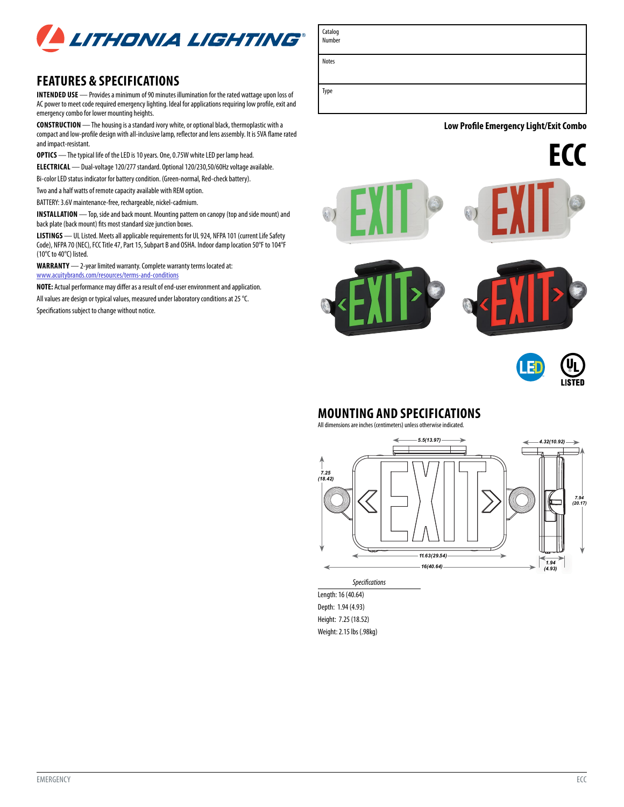

## **FEATURES & SPECIFICATIONS**

**INTENDED USE** — Provides a minimum of 90 minutes illumination for the rated wattage upon loss of AC power to meet code required emergency lighting. Ideal for applications requiring low profile, exit and emergency combo for lower mounting heights.

**CONSTRUCTION** — The housing is a standard ivory white, or optional black, thermoplastic with a compact and low-profile design with all-inclusive lamp, reflector and lens assembly. It is 5VA flame rated and impact-resistant.

**OPTICS** — The typical life of the LED is 10 years. One, 0.75W white LED per lamp head.

**ELECTRICAL** — Dual-voltage 120/277 standard. Optional 120/230,50/60Hz voltage available.

Bi-color LED status indicator for battery condition. (Green-normal, Red-check battery).

Two and a half watts of remote capacity available with REM option.

BATTERY: 3.6V maintenance-free, rechargeable, nickel-cadmium.

**INSTALLATION** — Top, side and back mount. Mounting pattern on canopy (top and side mount) and back plate (back mount) fits most standard size junction boxes.

**LISTINGS** — UL Listed. Meets all applicable requirements for UL 924, NFPA 101 (current Life Safety Code), NFPA 70 (NEC), FCC Title 47, Part 15, Subpart B and OSHA. Indoor damp location 50°F to 104°F (10°C to 40°C) listed.

**WARRANTY** — 2-year limited warranty. Complete warranty terms located at: [www.acuitybrands.com/resources/terms-and-conditions](http://www.acuitybrands.com/resources/terms-and-conditions)

**NOTE:** Actual performance may differ as a result of end-user environment and application.

All values are design or typical values, measured under laboratory conditions at 25 °C. Specifications subject to change without notice.

Notes

Catalog Number

Type

**Low Profile Emergency Light/Exit Combo** 

**ECC**







## **MOUNTING AND SPECIFICATIONS**

All dimensions are inches (centimeters) unless otherwise indicated.



*Specifications* Length: 16 (40.64) Depth: 1.94 (4.93) Height: 7.25 (18.52)

Weight: 2.15 lbs (.98kg)